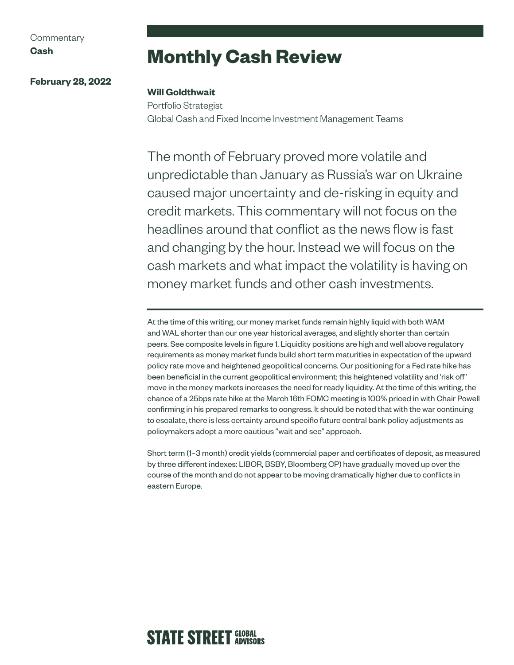### **Commentary Cash**

**February 28, 2022**

# **Monthly Cash Review**

## **Will Goldthwait**

Portfolio Strategist Global Cash and Fixed Income Investment Management Teams

The month of February proved more volatile and unpredictable than January as Russia's war on Ukraine caused major uncertainty and de-risking in equity and credit markets. This commentary will not focus on the headlines around that conflict as the news flow is fast and changing by the hour. Instead we will focus on the cash markets and what impact the volatility is having on money market funds and other cash investments.

At the time of this writing, our money market funds remain highly liquid with both WAM and WAL shorter than our one year historical averages, and slightly shorter than certain peers. See composite levels in figure 1. Liquidity positions are high and well above regulatory requirements as money market funds build short term maturities in expectation of the upward policy rate move and heightened geopolitical concerns. Our positioning for a Fed rate hike has been beneficial in the current geopolitical environment; this heightened volatility and 'risk off' move in the money markets increases the need for ready liquidity. At the time of this writing, the chance of a 25bps rate hike at the March 16th FOMC meeting is 100% priced in with Chair Powell confirming in his prepared remarks to congress. It should be noted that with the war continuing to escalate, there is less certainty around specific future central bank policy adjustments as policymakers adopt a more cautious "wait and see" approach.

Short term (1–3 month) credit yields (commercial paper and certificates of deposit, as measured by three different indexes: LIBOR, BSBY, Bloomberg CP) have gradually moved up over the course of the month and do not appear to be moving dramatically higher due to conflicts in eastern Europe.

# **STATE STREET GLOBAL**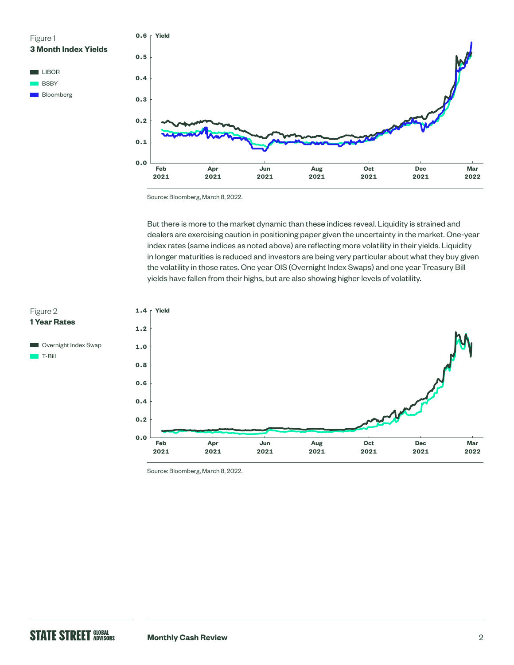

Source: Bloomberg, March 8, 2022.

But there is more to the market dynamic than these indices reveal. Liquidity is strained and dealers are exercising caution in positioning paper given the uncertainty in the market. One-year index rates (same indices as noted above) are reflecting more volatility in their yields. Liquidity in longer maturities is reduced and investors are being very particular about what they buy given the volatility in those rates. One year OIS (Overnight Index Swaps) and one year Treasury Bill yields have fallen from their highs, but are also showing higher levels of volatility.



Source: Bloomberg, March 8, 2022.

Figure 2 **1 Year Rates** 

T-Bill

**D** Overnight Index Swap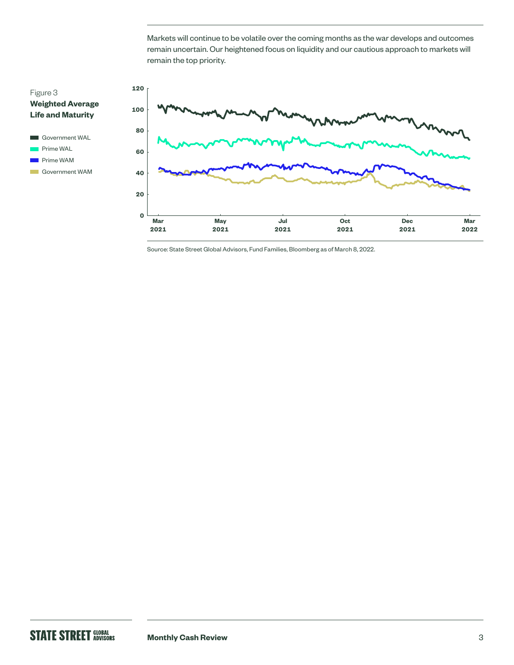Markets will continue to be volatile over the coming months as the war develops and outcomes remain uncertain. Our heightened focus on liquidity and our cautious approach to markets will remain the top priority.





Source: State Street Global Advisors, Fund Families, Bloomberg as of March 8, 2022.